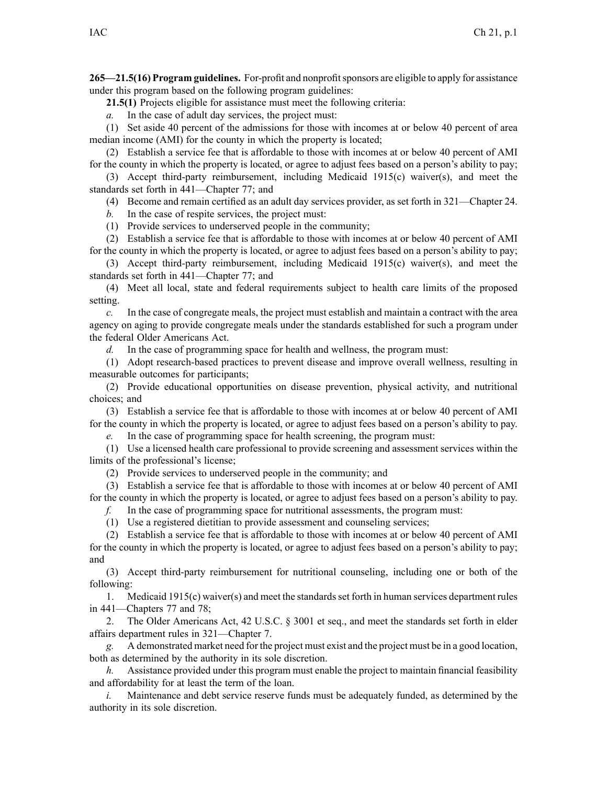**265—21.5(16) Program guidelines.** For-profit and nonprofitsponsors are eligible to apply for assistance under this program based on the following program guidelines:

**21.5(1)** Projects eligible for assistance must meet the following criteria:

*a.* In the case of adult day services, the project must:

(1) Set aside 40 percen<sup>t</sup> of the admissions for those with incomes at or below 40 percen<sup>t</sup> of area median income (AMI) for the county in which the property is located;

(2) Establish <sup>a</sup> service fee that is affordable to those with incomes at or below 40 percen<sup>t</sup> of AMI for the county in which the property is located, or agree to adjust fees based on <sup>a</sup> person's ability to pay;

(3) Accept third-party reimbursement, including Medicaid 1915(c) waiver(s), and meet the standards set forth in 441—Chapter 77; and

(4) Become and remain certified as an adult day services provider, as set forth in 321—Chapter 24.

*b.* In the case of respite services, the project must:

(1) Provide services to underserved people in the community;

(2) Establish <sup>a</sup> service fee that is affordable to those with incomes at or below 40 percen<sup>t</sup> of AMI for the county in which the property is located, or agree to adjust fees based on <sup>a</sup> person's ability to pay;

(3) Accept third-party reimbursement, including Medicaid 1915(c) waiver(s), and meet the standards set forth in 441—Chapter 77; and

(4) Meet all local, state and federal requirements subject to health care limits of the proposed setting.

*c.* In the case of congregate meals, the project must establish and maintain <sup>a</sup> contract with the area agency on aging to provide congregate meals under the standards established for such <sup>a</sup> program under the federal Older Americans Act.

*d.* In the case of programming space for health and wellness, the program must:

(1) Adopt research-based practices to preven<sup>t</sup> disease and improve overall wellness, resulting in measurable outcomes for participants;

(2) Provide educational opportunities on disease prevention, physical activity, and nutritional choices; and

(3) Establish <sup>a</sup> service fee that is affordable to those with incomes at or below 40 percen<sup>t</sup> of AMI for the county in which the property is located, or agree to adjust fees based on <sup>a</sup> person's ability to pay.

*e.* In the case of programming space for health screening, the program must:

(1) Use <sup>a</sup> licensed health care professional to provide screening and assessment services within the limits of the professional's license;

(2) Provide services to underserved people in the community; and

(3) Establish <sup>a</sup> service fee that is affordable to those with incomes at or below 40 percen<sup>t</sup> of AMI for the county in which the property is located, or agree to adjust fees based on <sup>a</sup> person's ability to pay.

*f.* In the case of programming space for nutritional assessments, the program must:

(1) Use <sup>a</sup> registered dietitian to provide assessment and counseling services;

(2) Establish <sup>a</sup> service fee that is affordable to those with incomes at or below 40 percen<sup>t</sup> of AMI for the county in which the property is located, or agree to adjust fees based on <sup>a</sup> person's ability to pay; and

(3) Accept third-party reimbursement for nutritional counseling, including one or both of the following:

1. Medicaid 1915(c) waiver(s) and meet the standardsset forth in human services department rules in 441—Chapters 77 and 78;

2. The Older Americans Act, 42 U.S.C. § 3001 et seq., and meet the standards set forth in elder affairs department rules in 321—Chapter 7.

*g.* A demonstrated market need for the project must exist and the project must be in <sup>a</sup> good location, both as determined by the authority in its sole discretion.

*h.* Assistance provided under this program must enable the project to maintain financial feasibility and affordability for at least the term of the loan.

*i.* Maintenance and debt service reserve funds must be adequately funded, as determined by the authority in its sole discretion.